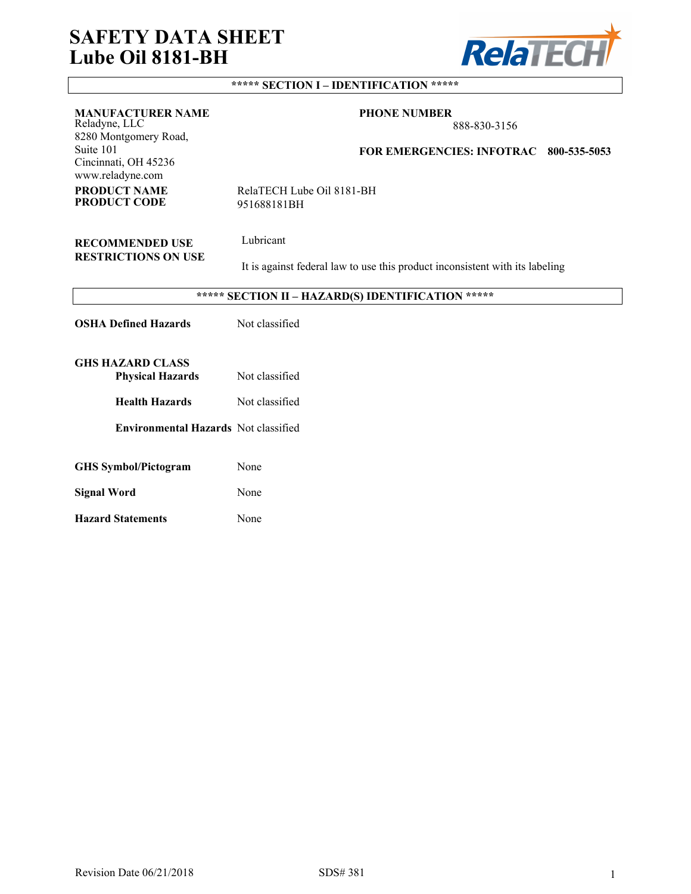# **SAFETY DATA SHEET Lube Oil 8181-BH**



# **\*\*\*\*\* SECTION I – IDENTIFICATION \*\*\*\*\***

| <b>MANUFACTURER NAME</b><br>Reladyne, LLC<br>8280 Montgomery Road,<br>Suite 101<br>Cincinnati, OH 45236<br>www.reladyne.com | <b>PHONE NUMBER</b><br>888-830-3156<br><b>FOR EMERGENCIES: INFOTRAC</b><br>800-535-5053   |  |  |
|-----------------------------------------------------------------------------------------------------------------------------|-------------------------------------------------------------------------------------------|--|--|
| <b>PRODUCT NAME</b><br><b>PRODUCT CODE</b>                                                                                  | RelaTECH Lube Oil 8181-BH<br>951688181BH                                                  |  |  |
| <b>RECOMMENDED USE</b><br><b>RESTRICTIONS ON USE</b>                                                                        | Lubricant<br>It is against federal law to use this product inconsistent with its labeling |  |  |
|                                                                                                                             | ***** SECTION II - HAZARD(S) IDENTIFICATION *****                                         |  |  |
| <b>OSHA Defined Hazards</b>                                                                                                 | Not classified                                                                            |  |  |
| <b>GHS HAZARD CLASS</b><br><b>Physical Hazards</b>                                                                          | Not classified                                                                            |  |  |
| <b>Health Hazards</b>                                                                                                       | Not classified                                                                            |  |  |
| <b>Environmental Hazards</b> Not classified                                                                                 |                                                                                           |  |  |
| <b>GHS</b> Symbol/Pictogram                                                                                                 | None                                                                                      |  |  |
| <b>Signal Word</b>                                                                                                          | None                                                                                      |  |  |
| <b>Hazard Statements</b>                                                                                                    | None                                                                                      |  |  |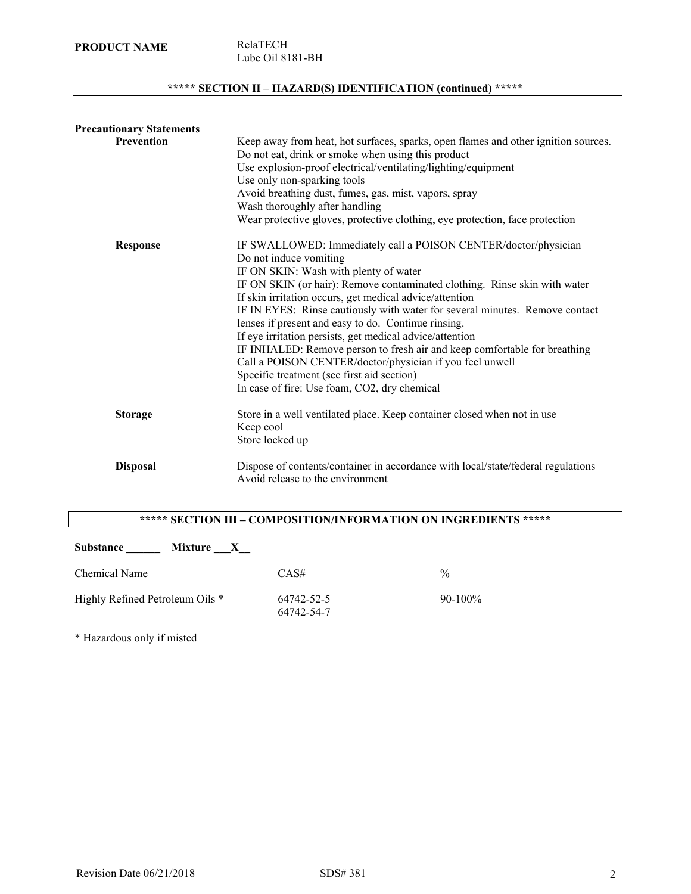**PRODUCT NAME** RelaTECH

# **\*\*\*\*\* SECTION II – HAZARD(S) IDENTIFICATION (continued) \*\*\*\*\***

| <b>Precautionary Statements</b> |                                                                                                                                                                                                                                                                                                                                                                                                                                                                                                                                                                                                                                                                                                                     |
|---------------------------------|---------------------------------------------------------------------------------------------------------------------------------------------------------------------------------------------------------------------------------------------------------------------------------------------------------------------------------------------------------------------------------------------------------------------------------------------------------------------------------------------------------------------------------------------------------------------------------------------------------------------------------------------------------------------------------------------------------------------|
| Prevention                      | Keep away from heat, hot surfaces, sparks, open flames and other ignition sources.<br>Do not eat, drink or smoke when using this product<br>Use explosion-proof electrical/ventilating/lighting/equipment<br>Use only non-sparking tools<br>Avoid breathing dust, fumes, gas, mist, vapors, spray<br>Wash thoroughly after handling<br>Wear protective gloves, protective clothing, eye protection, face protection                                                                                                                                                                                                                                                                                                 |
| <b>Response</b>                 | IF SWALLOWED: Immediately call a POISON CENTER/doctor/physician<br>Do not induce vomiting<br>IF ON SKIN: Wash with plenty of water<br>IF ON SKIN (or hair): Remove contaminated clothing. Rinse skin with water<br>If skin irritation occurs, get medical advice/attention<br>IF IN EYES: Rinse cautiously with water for several minutes. Remove contact<br>lenses if present and easy to do. Continue rinsing.<br>If eye irritation persists, get medical advice/attention<br>IF INHALED: Remove person to fresh air and keep comfortable for breathing<br>Call a POISON CENTER/doctor/physician if you feel unwell<br>Specific treatment (see first aid section)<br>In case of fire: Use foam, CO2, dry chemical |
| <b>Storage</b>                  | Store in a well ventilated place. Keep container closed when not in use<br>Keep cool<br>Store locked up                                                                                                                                                                                                                                                                                                                                                                                                                                                                                                                                                                                                             |
| <b>Disposal</b>                 | Dispose of contents/container in accordance with local/state/federal regulations<br>Avoid release to the environment                                                                                                                                                                                                                                                                                                                                                                                                                                                                                                                                                                                                |

# **\*\*\*\*\* SECTION III – COMPOSITION/INFORMATION ON INGREDIENTS \*\*\*\*\***

| <b>Substance</b><br>Mixture<br>$\mathbf{X}$ |                          |               |
|---------------------------------------------|--------------------------|---------------|
| Chemical Name                               | CAS#                     | $\frac{0}{0}$ |
| Highly Refined Petroleum Oils *             | 64742-52-5<br>64742-54-7 | $90-100\%$    |

\* Hazardous only if misted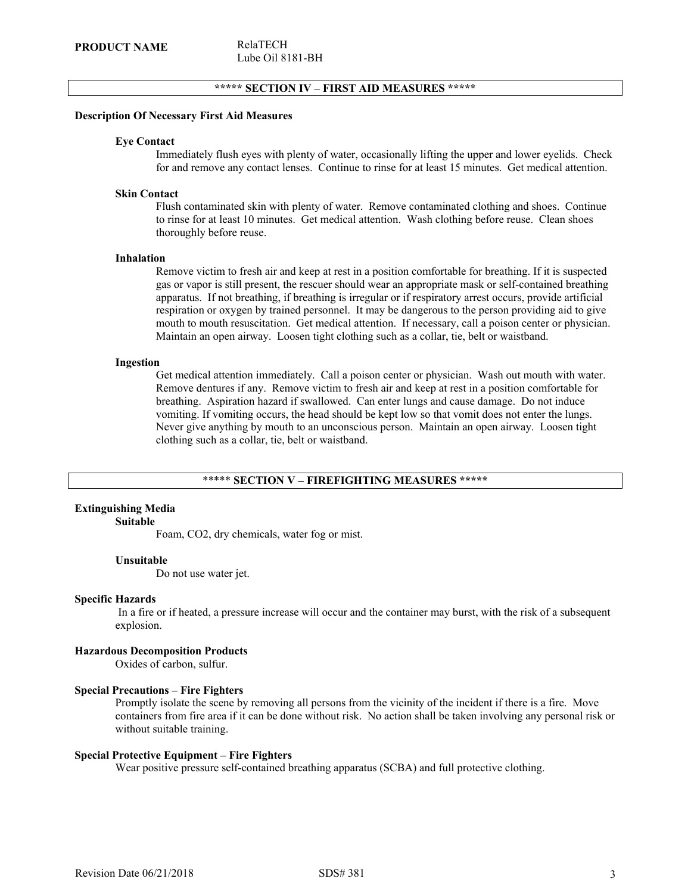# **\*\*\*\*\* SECTION IV – FIRST AID MEASURES \*\*\*\*\***

#### **Description Of Necessary First Aid Measures**

#### **Eye Contact**

Immediately flush eyes with plenty of water, occasionally lifting the upper and lower eyelids. Check for and remove any contact lenses. Continue to rinse for at least 15 minutes. Get medical attention.

#### **Skin Contact**

Flush contaminated skin with plenty of water. Remove contaminated clothing and shoes. Continue to rinse for at least 10 minutes. Get medical attention. Wash clothing before reuse. Clean shoes thoroughly before reuse.

#### **Inhalation**

Remove victim to fresh air and keep at rest in a position comfortable for breathing. If it is suspected gas or vapor is still present, the rescuer should wear an appropriate mask or self-contained breathing apparatus. If not breathing, if breathing is irregular or if respiratory arrest occurs, provide artificial respiration or oxygen by trained personnel. It may be dangerous to the person providing aid to give mouth to mouth resuscitation. Get medical attention. If necessary, call a poison center or physician. Maintain an open airway. Loosen tight clothing such as a collar, tie, belt or waistband.

#### **Ingestion**

Get medical attention immediately. Call a poison center or physician. Wash out mouth with water. Remove dentures if any. Remove victim to fresh air and keep at rest in a position comfortable for breathing. Aspiration hazard if swallowed. Can enter lungs and cause damage. Do not induce vomiting. If vomiting occurs, the head should be kept low so that vomit does not enter the lungs. Never give anything by mouth to an unconscious person. Maintain an open airway. Loosen tight clothing such as a collar, tie, belt or waistband.

#### \*\*\*\*\* **SECTION V – FIREFIGHTING MEASURES \*\*\*\*\***

# **Extinguishing Media**

# **Suitable**

Foam, CO2, dry chemicals, water fog or mist.

#### **Unsuitable**

Do not use water jet.

#### **Specific Hazards**

 In a fire or if heated, a pressure increase will occur and the container may burst, with the risk of a subsequent explosion.

# **Hazardous Decomposition Products**

Oxides of carbon, sulfur.

#### **Special Precautions – Fire Fighters**

Promptly isolate the scene by removing all persons from the vicinity of the incident if there is a fire. Move containers from fire area if it can be done without risk. No action shall be taken involving any personal risk or without suitable training.

#### **Special Protective Equipment – Fire Fighters**

Wear positive pressure self-contained breathing apparatus (SCBA) and full protective clothing.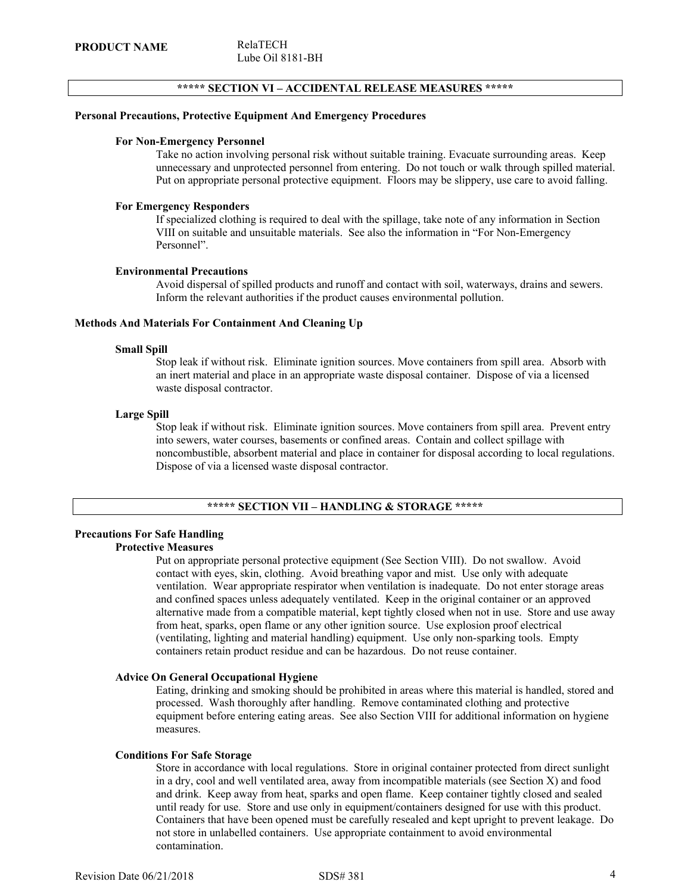# **\*\*\*\*\* SECTION VI – ACCIDENTAL RELEASE MEASURES \*\*\*\*\***

# **Personal Precautions, Protective Equipment And Emergency Procedures**

# **For Non-Emergency Personnel**

Take no action involving personal risk without suitable training. Evacuate surrounding areas. Keep unnecessary and unprotected personnel from entering. Do not touch or walk through spilled material. Put on appropriate personal protective equipment. Floors may be slippery, use care to avoid falling.

# **For Emergency Responders**

If specialized clothing is required to deal with the spillage, take note of any information in Section VIII on suitable and unsuitable materials. See also the information in "For Non-Emergency Personnel".

#### **Environmental Precautions**

Avoid dispersal of spilled products and runoff and contact with soil, waterways, drains and sewers. Inform the relevant authorities if the product causes environmental pollution.

# **Methods And Materials For Containment And Cleaning Up**

#### **Small Spill**

Stop leak if without risk. Eliminate ignition sources. Move containers from spill area. Absorb with an inert material and place in an appropriate waste disposal container. Dispose of via a licensed waste disposal contractor.

#### **Large Spill**

Stop leak if without risk. Eliminate ignition sources. Move containers from spill area. Prevent entry into sewers, water courses, basements or confined areas. Contain and collect spillage with noncombustible, absorbent material and place in container for disposal according to local regulations. Dispose of via a licensed waste disposal contractor.

# **\*\*\*\*\* SECTION VII – HANDLING & STORAGE \*\*\*\*\***

# **Precautions For Safe Handling Protective Measures**

Put on appropriate personal protective equipment (See Section VIII). Do not swallow. Avoid contact with eyes, skin, clothing. Avoid breathing vapor and mist. Use only with adequate ventilation. Wear appropriate respirator when ventilation is inadequate. Do not enter storage areas and confined spaces unless adequately ventilated. Keep in the original container or an approved alternative made from a compatible material, kept tightly closed when not in use. Store and use away from heat, sparks, open flame or any other ignition source. Use explosion proof electrical (ventilating, lighting and material handling) equipment. Use only non-sparking tools. Empty containers retain product residue and can be hazardous. Do not reuse container.

# **Advice On General Occupational Hygiene**

Eating, drinking and smoking should be prohibited in areas where this material is handled, stored and processed. Wash thoroughly after handling. Remove contaminated clothing and protective equipment before entering eating areas. See also Section VIII for additional information on hygiene measures.

#### **Conditions For Safe Storage**

Store in accordance with local regulations. Store in original container protected from direct sunlight in a dry, cool and well ventilated area, away from incompatible materials (see Section X) and food and drink. Keep away from heat, sparks and open flame. Keep container tightly closed and sealed until ready for use. Store and use only in equipment/containers designed for use with this product. Containers that have been opened must be carefully resealed and kept upright to prevent leakage. Do not store in unlabelled containers. Use appropriate containment to avoid environmental contamination.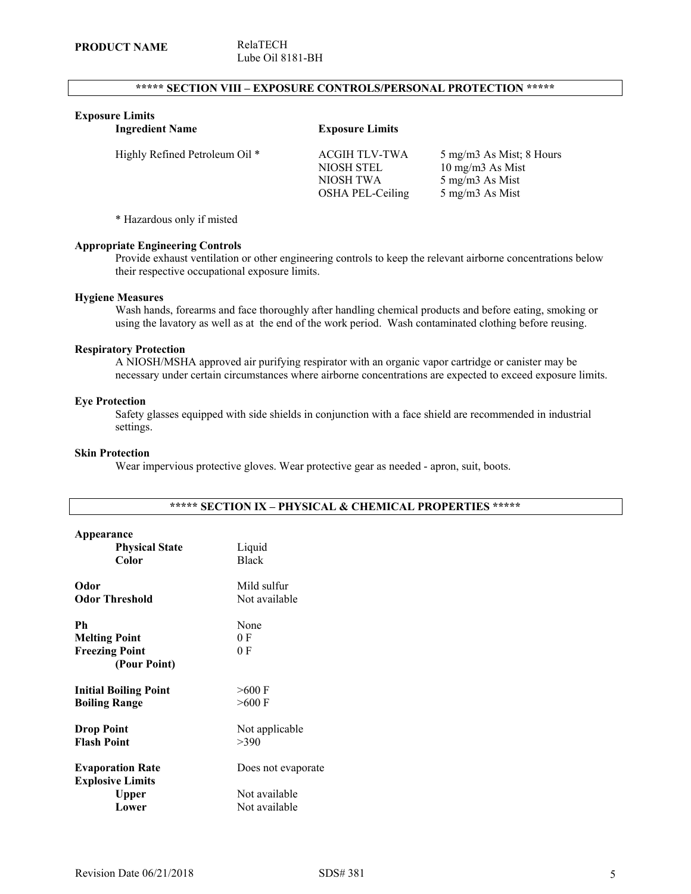# **\*\*\*\*\* SECTION VIII – EXPOSURE CONTROLS/PERSONAL PROTECTION \*\*\*\*\***

# **Exposure Limits**

| <b>Ingredient Name</b>         | <b>Exposure Limits</b>                                              |                                                                                             |
|--------------------------------|---------------------------------------------------------------------|---------------------------------------------------------------------------------------------|
| Highly Refined Petroleum Oil * | <b>ACGIH TLV-TWA</b><br>NIOSH STEL<br>NIOSH TWA<br>OSHA PEL-Ceiling | 5 mg/m3 As Mist; 8 Hours<br>$10 \text{ mg/m}$ As Mist<br>5 mg/m3 As Mist<br>5 mg/m3 As Mist |

\* Hazardous only if misted

# **Appropriate Engineering Controls**

Provide exhaust ventilation or other engineering controls to keep the relevant airborne concentrations below their respective occupational exposure limits.

# **Hygiene Measures**

Wash hands, forearms and face thoroughly after handling chemical products and before eating, smoking or using the lavatory as well as at the end of the work period. Wash contaminated clothing before reusing.

# **Respiratory Protection**

A NIOSH/MSHA approved air purifying respirator with an organic vapor cartridge or canister may be necessary under certain circumstances where airborne concentrations are expected to exceed exposure limits.

#### **Eye Protection**

Safety glasses equipped with side shields in conjunction with a face shield are recommended in industrial settings.

# **Skin Protection**

Wear impervious protective gloves. Wear protective gear as needed - apron, suit, boots.

| Appearance<br><b>Physical State</b><br>Color                         | Liquid<br><b>Black</b>                               |
|----------------------------------------------------------------------|------------------------------------------------------|
| Odor                                                                 | Mild sulfur                                          |
| <b>Odor Threshold</b>                                                | Not available                                        |
| Ph<br><b>Melting Point</b><br><b>Freezing Point</b><br>(Pour Point)  | None<br>0 F<br>0 F                                   |
| <b>Initial Boiling Point</b>                                         | $>600$ F                                             |
| <b>Boiling Range</b>                                                 | $>600$ F                                             |
| <b>Drop Point</b>                                                    | Not applicable                                       |
| <b>Flash Point</b>                                                   | >390                                                 |
| <b>Evaporation Rate</b><br><b>Explosive Limits</b><br>Upper<br>Lower | Does not evaporate<br>Not available<br>Not available |

# **\*\*\*\*\* SECTION IX – PHYSICAL & CHEMICAL PROPERTIES \*\*\*\*\***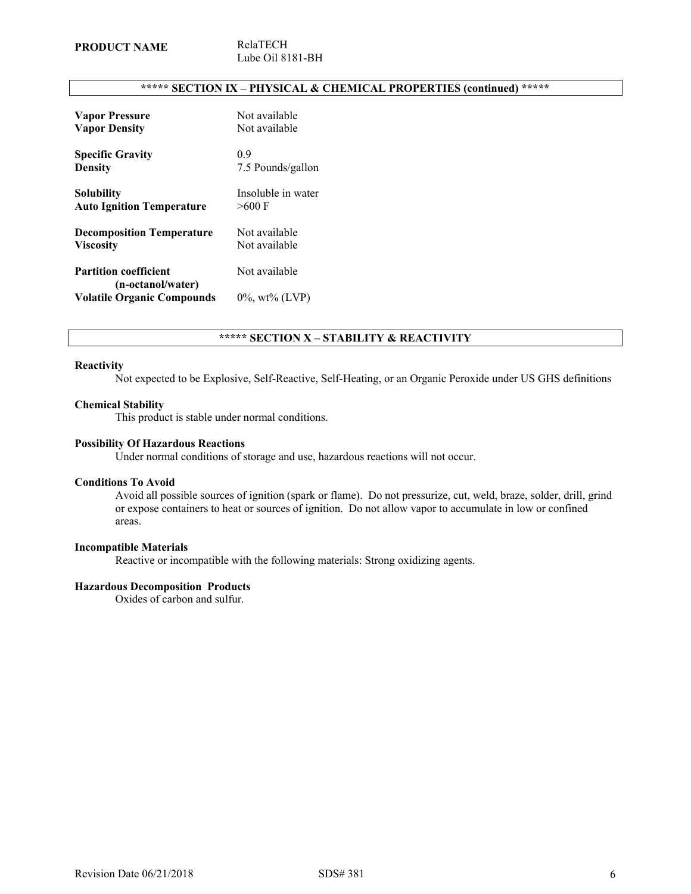# **\*\*\*\*\* SECTION IX – PHYSICAL & CHEMICAL PROPERTIES (continued) \*\*\*\*\***

| <b>Vapor Pressure</b>             | Not available      |
|-----------------------------------|--------------------|
| <b>Vapor Density</b>              | Not available      |
| <b>Specific Gravity</b>           | 09                 |
| <b>Density</b>                    | 7.5 Pounds/gallon  |
| Solubility                        | Insoluble in water |
| <b>Auto Ignition Temperature</b>  | $>600$ F           |
| <b>Decomposition Temperature</b>  | Not available      |
| <b>Viscosity</b>                  | Not available      |
| <b>Partition coefficient</b>      | Not available      |
| (n-octanol/water)                 |                    |
| <b>Volatile Organic Compounds</b> | $0\%$ , wt% (LVP)  |

# **\*\*\*\*\* SECTION X – STABILITY & REACTIVITY**

# **Reactivity**

Not expected to be Explosive, Self-Reactive, Self-Heating, or an Organic Peroxide under US GHS definitions

#### **Chemical Stability**

This product is stable under normal conditions.

#### **Possibility Of Hazardous Reactions**

Under normal conditions of storage and use, hazardous reactions will not occur.

#### **Conditions To Avoid**

Avoid all possible sources of ignition (spark or flame). Do not pressurize, cut, weld, braze, solder, drill, grind or expose containers to heat or sources of ignition. Do not allow vapor to accumulate in low or confined areas.

#### **Incompatible Materials**

Reactive or incompatible with the following materials: Strong oxidizing agents.

# **Hazardous Decomposition Products**

Oxides of carbon and sulfur.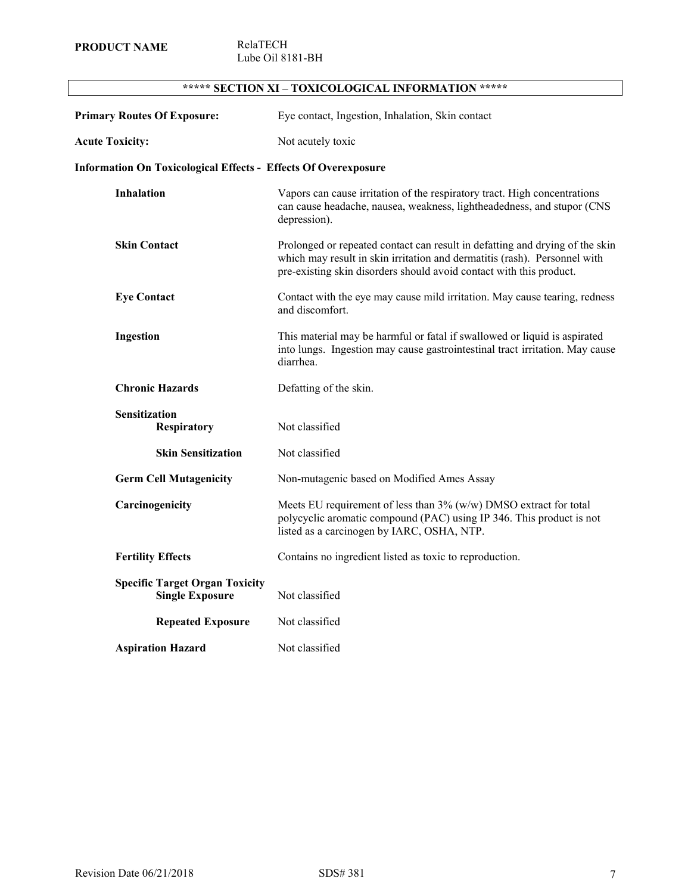l,

Lube Oil 8181-BH

| <b>Primary Routes Of Exposure:</b>                                    | Eye contact, Ingestion, Inhalation, Skin contact                                                                                                                                                                                 |
|-----------------------------------------------------------------------|----------------------------------------------------------------------------------------------------------------------------------------------------------------------------------------------------------------------------------|
| <b>Acute Toxicity:</b>                                                | Not acutely toxic                                                                                                                                                                                                                |
| <b>Information On Toxicological Effects - Effects Of Overexposure</b> |                                                                                                                                                                                                                                  |
| <b>Inhalation</b>                                                     | Vapors can cause irritation of the respiratory tract. High concentrations<br>can cause headache, nausea, weakness, lightheadedness, and stupor (CNS<br>depression).                                                              |
| <b>Skin Contact</b>                                                   | Prolonged or repeated contact can result in defatting and drying of the skin<br>which may result in skin irritation and dermatitis (rash). Personnel with<br>pre-existing skin disorders should avoid contact with this product. |
| <b>Eye Contact</b>                                                    | Contact with the eye may cause mild irritation. May cause tearing, redness<br>and discomfort.                                                                                                                                    |
| Ingestion                                                             | This material may be harmful or fatal if swallowed or liquid is aspirated<br>into lungs. Ingestion may cause gastrointestinal tract irritation. May cause<br>diarrhea.                                                           |
| <b>Chronic Hazards</b>                                                | Defatting of the skin.                                                                                                                                                                                                           |
| <b>Sensitization</b><br><b>Respiratory</b>                            | Not classified                                                                                                                                                                                                                   |
| <b>Skin Sensitization</b>                                             | Not classified                                                                                                                                                                                                                   |
| <b>Germ Cell Mutagenicity</b>                                         | Non-mutagenic based on Modified Ames Assay                                                                                                                                                                                       |
| Carcinogenicity                                                       | Meets EU requirement of less than $3\%$ (w/w) DMSO extract for total<br>polycyclic aromatic compound (PAC) using IP 346. This product is not<br>listed as a carcinogen by IARC, OSHA, NTP.                                       |
| <b>Fertility Effects</b>                                              | Contains no ingredient listed as toxic to reproduction.                                                                                                                                                                          |
| <b>Specific Target Organ Toxicity</b><br><b>Single Exposure</b>       | Not classified                                                                                                                                                                                                                   |
| <b>Repeated Exposure</b>                                              | Not classified                                                                                                                                                                                                                   |
| <b>Aspiration Hazard</b>                                              | Not classified                                                                                                                                                                                                                   |

# **\*\*\*\*\* SECTION XI – TOXICOLOGICAL INFORMATION \*\*\*\*\***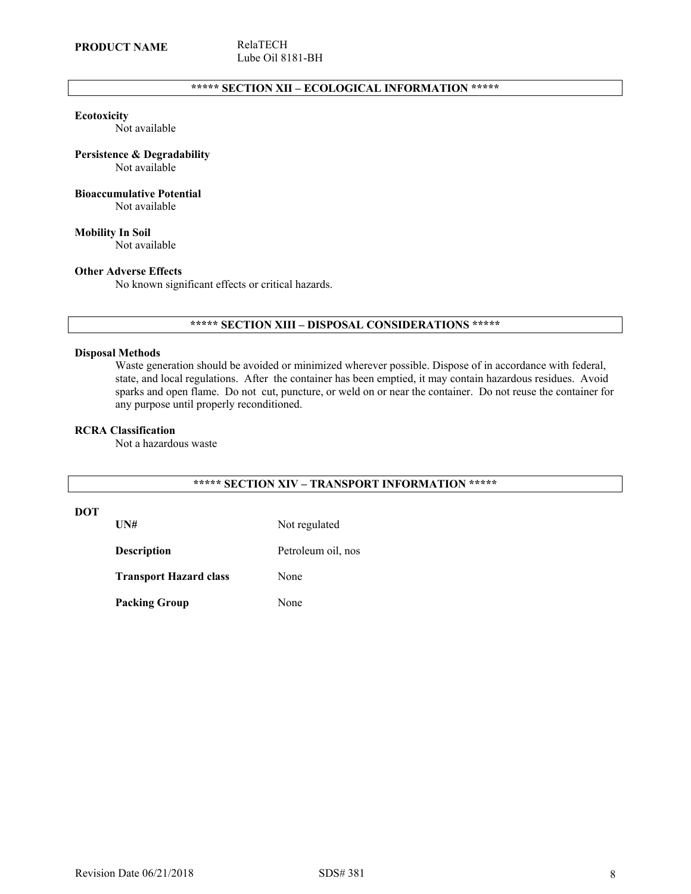# **\*\*\*\*\* SECTION XII – ECOLOGICAL INFORMATION \*\*\*\*\***

#### **Ecotoxicity**

Not available

# **Persistence & Degradability**

Not available

# **Bioaccumulative Potential**

Not available

**Mobility In Soil** Not available

## **Other Adverse Effects**

No known significant effects or critical hazards.

# **\*\*\*\*\* SECTION XIII – DISPOSAL CONSIDERATIONS \*\*\*\*\***

# **Disposal Methods**

Waste generation should be avoided or minimized wherever possible. Dispose of in accordance with federal, state, and local regulations. After the container has been emptied, it may contain hazardous residues. Avoid sparks and open flame. Do not cut, puncture, or weld on or near the container. Do not reuse the container for any purpose until properly reconditioned.

## **RCRA Classification**

Not a hazardous waste

# **\*\*\*\*\* SECTION XIV – TRANSPORT INFORMATION \*\*\*\*\***

# **DOT**

UN# Not regulated

**Description** Petroleum oil, nos

**Transport Hazard class** None

Packing Group None